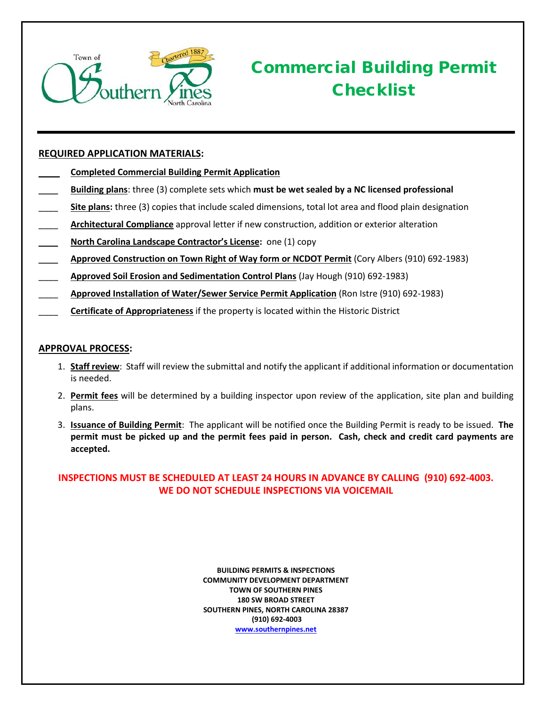

# Commercial Building Permit **Checklist**

### **REQUIRED APPLICATION MATERIALS:**

- \_\_\_\_ **Completed Commercial Building Permit Application**
- \_\_\_\_ **Building plans**: three (3) complete sets which **must be wet sealed by a NC licensed professional**
- \_\_\_\_ **Site plans:** three (3) copies that include scaled dimensions, total lot area and flood plain designation
- \_\_\_\_ **Architectural Compliance** approval letter if new construction, addition or exterior alteration
- \_\_\_\_ **North Carolina Landscape Contractor's License:** one (1) copy
- \_\_\_\_ **Approved Construction on Town Right of Way form or NCDOT Permit** (Cory Albers (910) 692-1983)
- \_\_\_\_ **Approved Soil Erosion and Sedimentation Control Plans** (Jay Hough (910) 692-1983)
- \_\_\_\_ **Approved Installation of Water/Sewer Service Permit Application** (Ron Istre (910) 692-1983)
- \_\_\_\_ **Certificate of Appropriateness** if the property is located within the Historic District

#### **APPROVAL PROCESS:**

- 1. **Staff review**: Staff will review the submittal and notify the applicant if additional information or documentation is needed.
- 2. **Permit fees** will be determined by a building inspector upon review of the application, site plan and building plans.
- 3. **Issuance of Building Permit**: The applicant will be notified once the Building Permit is ready to be issued. **The permit must be picked up and the permit fees paid in person. Cash, check and credit card payments are accepted.**

### **INSPECTIONS MUST BE SCHEDULED AT LEAST 24 HOURS IN ADVANCE BY CALLING (910) 692-4003. WE DO NOT SCHEDULE INSPECTIONS VIA VOICEMAIL**

**BUILDING PERMITS & INSPECTIONS COMMUNITY DEVELOPMENT DEPARTMENT TOWN OF SOUTHERN PINES 180 SW BROAD STREET SOUTHERN PINES, NORTH CAROLINA 28387 (910) 692-4003 [www.southernpines.net](http://www.southernpines.net/)**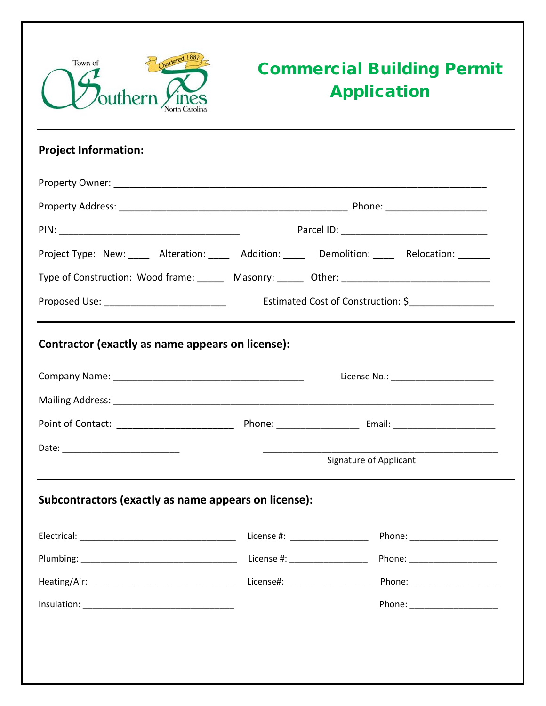

# Commercial Building Permit Application

## **Project Information:**

| Project Type: New: _____ Alteration: _____ Addition: _____ Demolition: _____ Relocation: ______ |                                    |                                       |
|-------------------------------------------------------------------------------------------------|------------------------------------|---------------------------------------|
| Type of Construction: Wood frame: Masonry: Masonry: 0ther: 1980 Monter: 2008 Masonry: 2008      |                                    |                                       |
| Proposed Use: _______________________________                                                   | Estimated Cost of Construction: \$ |                                       |
| Contractor (exactly as name appears on license):                                                |                                    |                                       |
|                                                                                                 |                                    | License No.: ________________________ |
|                                                                                                 |                                    |                                       |
|                                                                                                 |                                    |                                       |
|                                                                                                 |                                    | Signature of Applicant                |
| Subcontractors (exactly as name appears on license):                                            |                                    |                                       |
|                                                                                                 |                                    |                                       |
|                                                                                                 |                                    |                                       |
|                                                                                                 |                                    | License#: _____________________       |
|                                                                                                 |                                    |                                       |